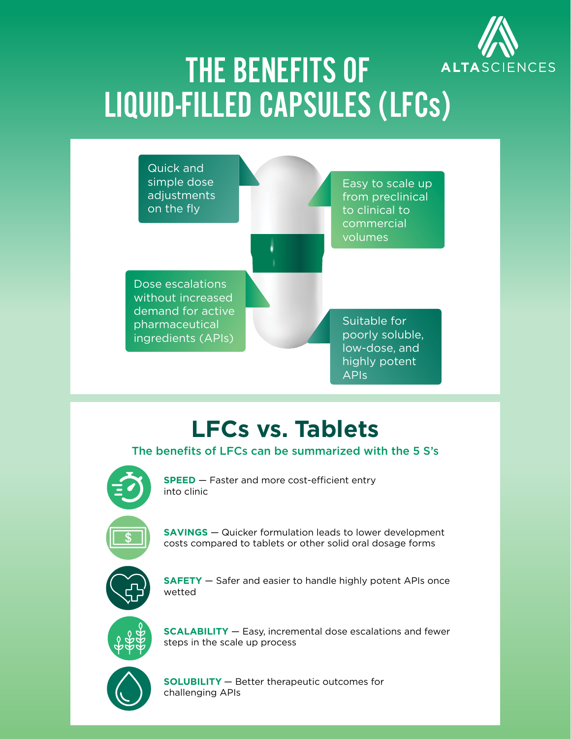

# THE BENEFITS OF LIQUID-FILLED CAPSULES (LFCs)



### **LFCs vs. Tablets**

#### The benefits of LFCs can be summarized with the 5 S's



**SPEED** – Faster and more cost-efficient entry into clinic



**SAVINGS** — Quicker formulation leads to lower development costs compared to tablets or other solid oral dosage forms



**SAFETY** — Safer and easier to handle highly potent APIs once wetted



**SCALABILITY** — Easy, incremental dose escalations and fewer steps in the scale up process



**SOLUBILITY** — Better therapeutic outcomes for challenging APIs